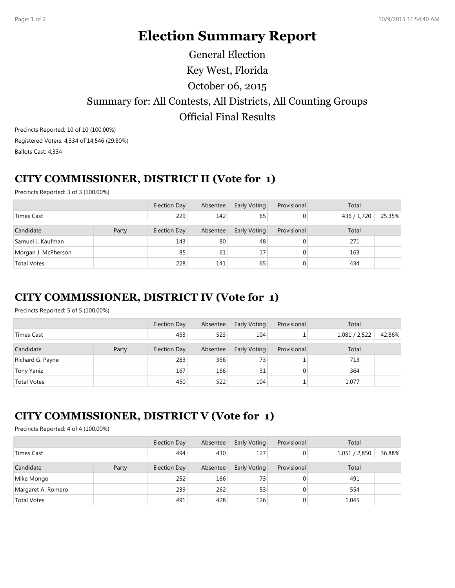# **Election Summary Report**

## Key West, Florida Summary for: All Contests, All Districts, All Counting Groups Official Final Results October 06, 2015 General Election

Precincts Reported: 10 of 10 (100.00%) Registered Voters: 4,334 of 14,546 (29.80%) Ballots Cast: 4,334

#### **CITY COMMISSIONER, DISTRICT II (Vote for 1)**

Precincts Reported: 3 of 3 (100.00%)

|                     |       | Election Day | Absentee | Early Voting | Provisional | Total       |        |
|---------------------|-------|--------------|----------|--------------|-------------|-------------|--------|
| Times Cast          |       | 229          | 142      | 65           |             | 436 / 1,720 | 25.35% |
| Candidate           | Party | Election Day | Absentee | Early Voting | Provisional | Total       |        |
| Samuel J. Kaufman   |       | 143          | 80       | 48           |             | 271         |        |
| Morgan J. McPherson |       | 85           | 61       | 17           |             | 163         |        |
| <b>Total Votes</b>  |       | 228          | 141      | 65           |             | 434         |        |

#### **CITY COMMISSIONER, DISTRICT IV (Vote for 1)**

Precincts Reported: 5 of 5 (100.00%)

|                    |       | <b>Election Day</b> | Absentee | Early Voting | Provisional | Total         |        |
|--------------------|-------|---------------------|----------|--------------|-------------|---------------|--------|
| Times Cast         |       | 453                 | 523      | 104          |             | 1,081 / 2,522 | 42.86% |
| Candidate          | Party | Election Day        | Absentee | Early Voting | Provisional | Total         |        |
| Richard G. Payne   |       | 283                 | 356      | 73           |             | 713           |        |
| Tony Yaniz         |       | 167                 | 166      | 31           | $\Omega$    | 364           |        |
| <b>Total Votes</b> |       | 450                 | 522      | 104          |             | 1,077         |        |

### **CITY COMMISSIONER, DISTRICT V (Vote for 1)**

Precincts Reported: 4 of 4 (100.00%)

|                    |       | <b>Election Day</b> | Absentee | Early Voting    | Provisional | Total         |        |  |
|--------------------|-------|---------------------|----------|-----------------|-------------|---------------|--------|--|
| Times Cast         |       | 494                 | 430      | 127             | 0           | 1,051 / 2,850 | 36.88% |  |
| Candidate          | Party | Election Day        | Absentee | Early Voting    | Provisional | Total         |        |  |
| Mike Mongo         |       | 252                 | 166      | 73 <sub>1</sub> | 0           | 491           |        |  |
| Margaret A. Romero |       | 239                 | 262      | 53              | $\Omega$    | 554           |        |  |
| <b>Total Votes</b> |       | 491                 | 428      | 126             | 0           | 1,045         |        |  |